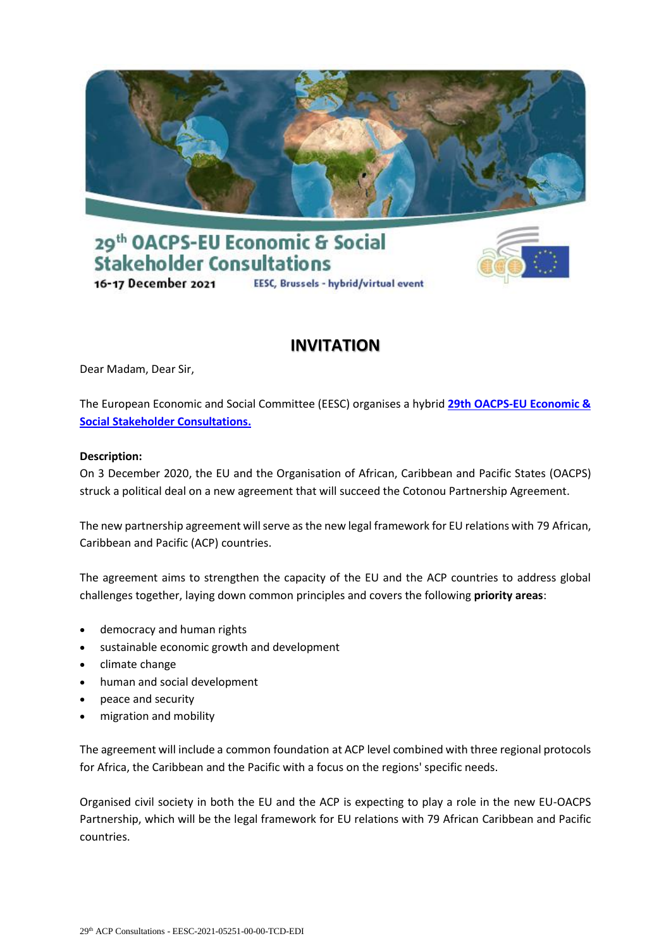





# **INVITATION**

Dear Madam, Dear Sir,

The European Economic and Social Committee (EESC) organises a hybrid **[29th OACPS-EU Economic &](https://www.eesc.europa.eu/en/agenda/our-events/events/29th-oacps-eu-economic-social-stakeholder-consultations/registration)  [Social Stakeholder Consultations.](https://www.eesc.europa.eu/en/agenda/our-events/events/29th-oacps-eu-economic-social-stakeholder-consultations/registration)**

### **Description:**

On 3 December 2020, the EU and the Organisation of African, Caribbean and Pacific States (OACPS) struck a political deal on a new agreement that will succeed the Cotonou Partnership Agreement.

The new partnership agreement will serve as the new legal framework for EU relations with 79 African, Caribbean and Pacific (ACP) countries.

The agreement aims to strengthen the capacity of the EU and the ACP countries to address global challenges together, laying down common principles and covers the following **priority areas**:

- democracy and human rights
- sustainable economic growth and development
- climate change
- human and social development
- peace and security
- migration and mobility

The agreement will include a common foundation at ACP level combined with three regional protocols for Africa, the Caribbean and the Pacific with a focus on the regions' specific needs.

Organised civil society in both the EU and the ACP is expecting to play a role in the new EU-OACPS Partnership, which will be the legal framework for EU relations with 79 African Caribbean and Pacific countries.